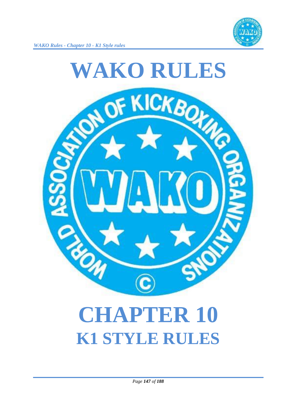

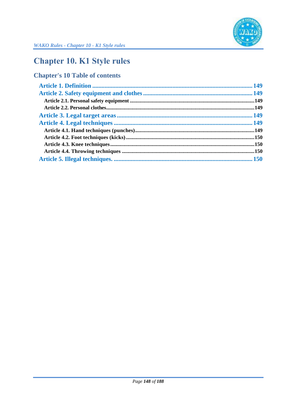

# **Chapter 10. K1 Style rules**

# **Chapter's 10 Table of contents**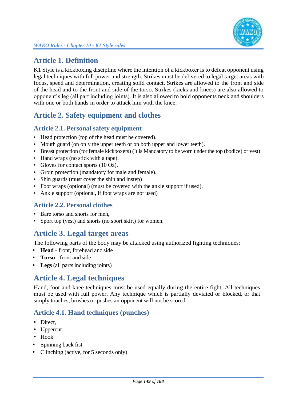

# **Article 1. Definition**

K1 Style is a kickboxing discipline where the intention of a kickboxer is to defeat opponent using legal techniques with full power and strength. Strikes must be delivered to legal target areas with focus, speed and determination, creating solid contact. Strikes are allowed to the front and side of the head and to the front and side of the torso. Strikes (kicks and knees) are also allowed to opponent's leg (all part including joints). It is also allowed to hold opponents neck and shoulders with one or both hands in order to attack him with the knee.

# **Article 2. Safety equipment and clothes**

### **Article 2.1. Personal safety equipment**

- Head protection (top of the head must be covered).
- Mouth guard (on only the upper teeth or on both upper and lower teeth).
- Breast protection (for female kickboxers) (It is Mandatory to be worn under the top (bodice) or vest)
- Hand wraps (no stick with a tape).
- Gloves for contact sports (10 Oz).
- Groin protection (mandatory for male and female).
- Shin guards (must cover the shin and instep)
- Foot wraps (optional) (must be covered with the ankle support if used).
- Ankle support (optional, if foot wraps are not used)

#### **Article 2.2. Personal clothes**

- Bare torso and shorts for men,
- Sport top (vest) and shorts (no sport skirt) for women.

### **Article 3. Legal target areas**

The following parts of the body may be attacked using authorized fighting techniques:

- **Head** front, forehead and side
- **Torso** front and side
- Legs (all parts including joints)

### **Article 4. Legal techniques**

Hand, foot and knee techniques must be used equally during the entire fight. All techniques must be used with full power. Any technique which is partially deviated or blocked, or that simply touches, brushes or pushes an opponent will not be scored.

### **Article 4.1. Hand techniques (punches)**

- Direct,
- Uppercut
- Hook
- Spinning back fist
- Clinching (active, for 5 seconds only)